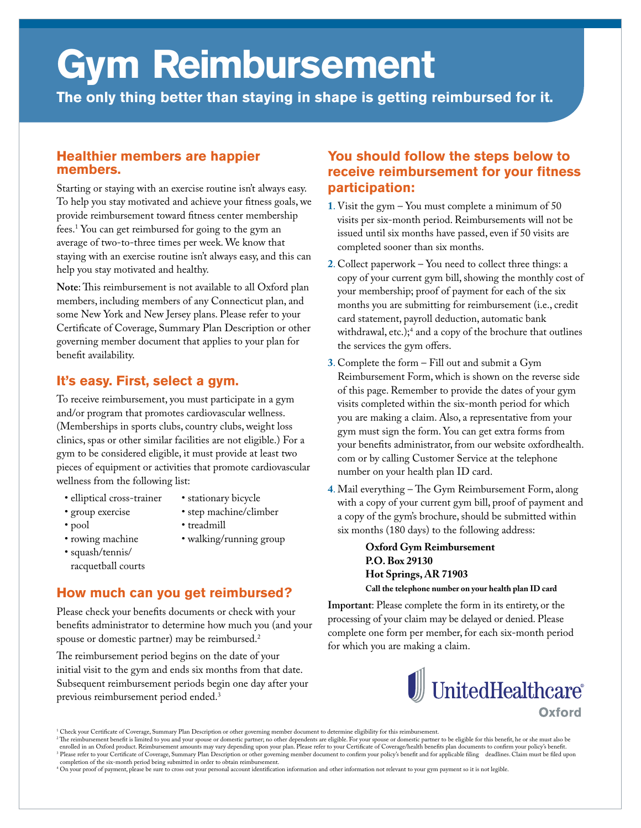# **Gym Reimbursement**

**The only thing better than staying in shape is getting reimbursed for it.**

#### **Healthier members are happier members.**

Starting or staying with an exercise routine isn't always easy. To help you stay motivated and achieve your fitness goals, we provide reimbursement toward fitness center membership fees.<sup>1</sup> You can get reimbursed for going to the gym an average of two-to-three times per week. We know that staying with an exercise routine isn't always easy, and this can help you stay motivated and healthy.

Note: This reimbursement is not available to all Oxford plan members, including members of any Connecticut plan, and some New York and New Jersey plans. Please refer to your Certificate of Coverage, Summary Plan Description or other governing member document that applies to your plan for benefit availability.

# **It's easy. First, select a gym.**

To receive reimbursement, you must participate in a gym and/or program that promotes cardiovascular wellness. (Memberships in sports clubs, country clubs, weight loss clinics, spas or other similar facilities are not eligible.) For a gym to be considered eligible, it must provide at least two pieces of equipment or activities that promote cardiovascular wellness from the following list:

- elliptical cross-trainer
- stationary bicycle
- group exercise

• pool

- step machine/climber • treadmill
- rowing machine
- walking/running group
- squash/tennis/ racquetball courts

### **How much can you get reimbursed?**

Please check your benefits documents or check with your benefits administrator to determine how much you (and your spouse or domestic partner) may be reimbursed.<sup>2</sup>

he reimbursement period begins on the date of your initial visit to the gym and ends six months from that date. Subsequent reimbursement periods begin one day after your previous reimbursement period ended.<sup>3</sup>

# **You should follow the steps below to receive reimbursement for your fitness participation:**

- **1**. Visit the gym You must complete a minimum of 50 visits per six-month period. Reimbursements will not be issued until six months have passed, even if 50 visits are completed sooner than six months.
- **2**. Collect paperwork You need to collect three things: a copy of your current gym bill, showing the monthly cost of your membership; proof of payment for each of the six months you are submitting for reimbursement (i.e., credit card statement, payroll deduction, automatic bank withdrawal, etc.);<sup>4</sup> and a copy of the brochure that outlines the services the gym offers.
- **3**. Complete the form Fill out and submit a Gym Reimbursement Form, which is shown on the reverse side of this page. Remember to provide the dates of your gym visits completed within the six-month period for which you are making a claim. Also, a representative from your gym must sign the form. You can get extra forms from your benefits administrator, from our website oxfordhealth. com or by calling Customer Service at the telephone number on your health plan ID card.
- 4. Mail everything The Gym Reimbursement Form, along with a copy of your current gym bill, proof of payment and a copy of the gym's brochure, should be submitted within six months (180 days) to the following address:

 **Oxford Gym Reimbursement P.O. Box 29130 Hot Springs, AR 71903 Call the telephone number on your health plan ID card**

**Important**: Please complete the form in its entirety, or the processing of your claim may be delayed or denied. Please complete one form per member, for each six-month period for which you are making a claim.



<sup>&</sup>lt;sup>1</sup> Check your Certificate of Coverage, Summary Plan Description or other governing member document to determine eligibility for this reimbursement.

<sup>&</sup>lt;sup>2</sup>The reimbursement benefit is limited to you and your spouse or domestic partner, no other dependents are eligible. For your spouse or domestic partner to be eligible for this benefit, he or she must also be enrolled in

<sup>4</sup> On your proof of payment, please be sure to cross out your personal account identiication information and other information not relevant to your gym payment so it is not legible.